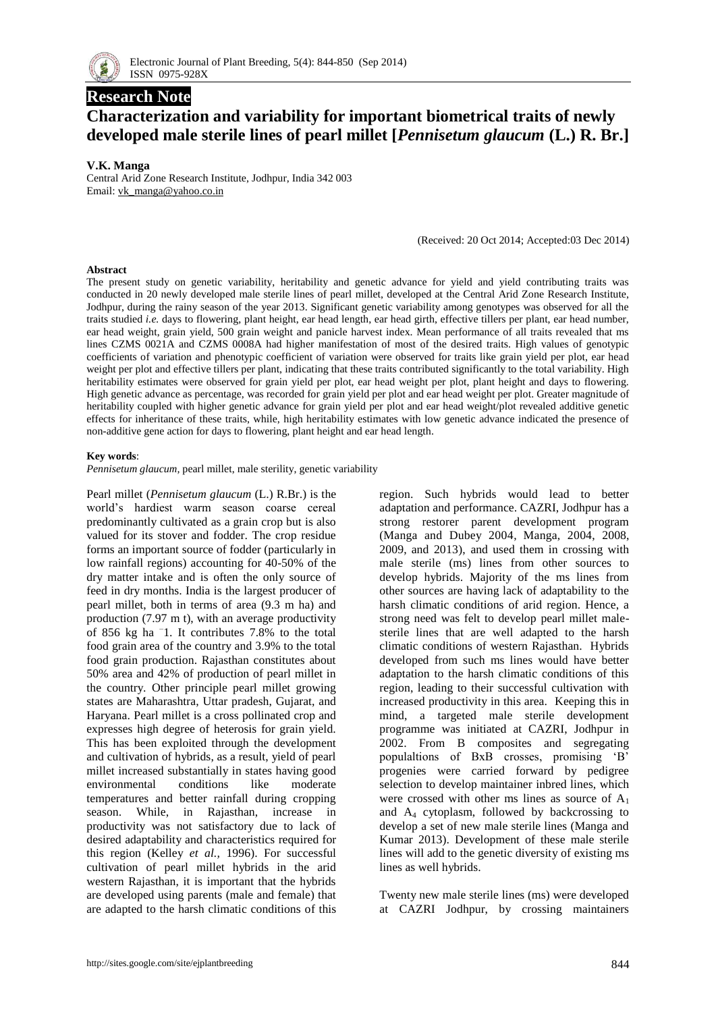

# **Research Note**

# **Characterization and variability for important biometrical traits of newly developed male sterile lines of pearl millet [***Pennisetum glaucum* **(L.) R. Br.]**

### **V.K. Manga**

Central Arid Zone Research Institute, Jodhpur, India 342 003 Email: [vk\\_manga@yahoo.co.in](mailto:vk_manga@yahoo.co.in)

(Received: 20 Oct 2014; Accepted:03 Dec 2014)

#### **Abstract**

The present study on genetic variability, heritability and genetic advance for yield and yield contributing traits was conducted in 20 newly developed male sterile lines of pearl millet, developed at the Central Arid Zone Research Institute, Jodhpur, during the rainy season of the year 2013. Significant genetic variability among genotypes was observed for all the traits studied *i.e.* days to flowering, plant height, ear head length, ear head girth, effective tillers per plant, ear head number, ear head weight, grain yield, 500 grain weight and panicle harvest index. Mean performance of all traits revealed that ms lines CZMS 0021A and CZMS 0008A had higher manifestation of most of the desired traits. High values of genotypic coefficients of variation and phenotypic coefficient of variation were observed for traits like grain yield per plot, ear head weight per plot and effective tillers per plant, indicating that these traits contributed significantly to the total variability. High heritability estimates were observed for grain yield per plot, ear head weight per plot, plant height and days to flowering. High genetic advance as percentage, was recorded for grain yield per plot and ear head weight per plot. Greater magnitude of heritability coupled with higher genetic advance for grain yield per plot and ear head weight/plot revealed additive genetic effects for inheritance of these traits, while, high heritability estimates with low genetic advance indicated the presence of non-additive gene action for days to flowering, plant height and ear head length.

#### **Key words**:

*Pennisetum glaucum,* pearl millet, male sterility, genetic variability

Pearl millet (*Pennisetum glaucum* (L.) R.Br.) is the world's hardiest warm season coarse cereal predominantly cultivated as a grain crop but is also valued for its stover and fodder. The crop residue forms an important source of fodder (particularly in low rainfall regions) accounting for 40-50% of the dry matter intake and is often the only source of feed in dry months. India is the largest producer of pearl millet, both in terms of area (9.3 m ha) and production (7.97 m t), with an average productivity of 856 kg ha – 1. It contributes 7.8% to the total food grain area of the country and 3.9% to the total food grain production. Rajasthan constitutes about 50% area and 42% of production of pearl millet in the country. Other principle pearl millet growing states are Maharashtra, Uttar pradesh, Gujarat, and Haryana. Pearl millet is a cross pollinated crop and expresses high degree of heterosis for grain yield. This has been exploited through the development and cultivation of hybrids, as a result, yield of pearl millet increased substantially in states having good environmental conditions like moderate temperatures and better rainfall during cropping season. While, in Rajasthan, increase in productivity was not satisfactory due to lack of desired adaptability and characteristics required for this region (Kelley *et al.,* 1996). For successful cultivation of pearl millet hybrids in the arid western Rajasthan, it is important that the hybrids are developed using parents (male and female) that are adapted to the harsh climatic conditions of this

region. Such hybrids would lead to better adaptation and performance. CAZRI, Jodhpur has a strong restorer parent development program (Manga and Dubey 2004, Manga, 2004, 2008, 2009, and 2013), and used them in crossing with male sterile (ms) lines from other sources to develop hybrids. Majority of the ms lines from other sources are having lack of adaptability to the harsh climatic conditions of arid region. Hence, a strong need was felt to develop pearl millet malesterile lines that are well adapted to the harsh climatic conditions of western Rajasthan. Hybrids developed from such ms lines would have better adaptation to the harsh climatic conditions of this region, leading to their successful cultivation with increased productivity in this area. Keeping this in mind, a targeted male sterile development programme was initiated at CAZRI, Jodhpur in 2002. From B composites and segregating populaltions of BxB crosses, promising 'B' progenies were carried forward by pedigree selection to develop maintainer inbred lines, which were crossed with other ms lines as source of  $A_1$ and  $A_4$  cytoplasm, followed by backcrossing to develop a set of new male sterile lines (Manga and Kumar 2013). Development of these male sterile lines will add to the genetic diversity of existing ms lines as well hybrids.

Twenty new male sterile lines (ms) were developed at CAZRI Jodhpur, by crossing maintainers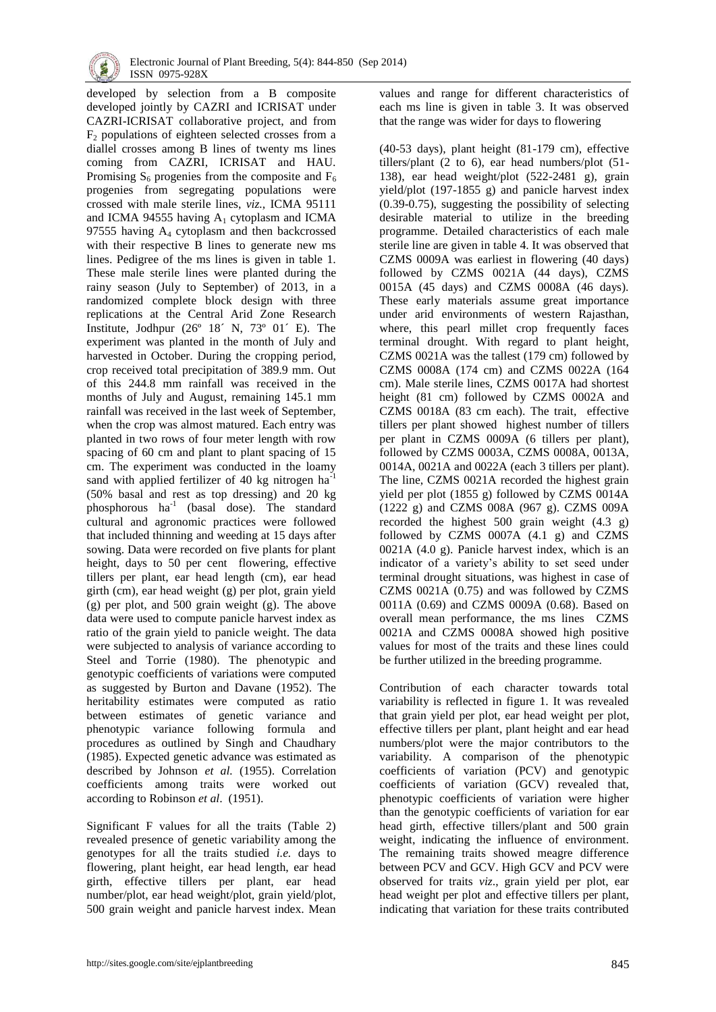

developed by selection from a B composite developed jointly by CAZRI and ICRISAT under CAZRI-ICRISAT collaborative project, and from  $F<sub>2</sub>$  populations of eighteen selected crosses from a diallel crosses among B lines of twenty ms lines coming from CAZRI, ICRISAT and HAU. Promising  $S_6$  progenies from the composite and  $F_6$ progenies from segregating populations were crossed with male sterile lines, *viz.,* ICMA 95111 and ICMA 94555 having  $A_1$  cytoplasm and ICMA 97555 having  $A_4$  cytoplasm and then backcrossed with their respective B lines to generate new ms lines. Pedigree of the ms lines is given in table 1. These male sterile lines were planted during the rainy season (July to September) of 2013, in a randomized complete block design with three replications at the Central Arid Zone Research Institute, Jodhpur (26º 18´ N, 73º 01´ E). The experiment was planted in the month of July and harvested in October. During the cropping period, crop received total precipitation of 389.9 mm. Out of this 244.8 mm rainfall was received in the months of July and August, remaining 145.1 mm rainfall was received in the last week of September, when the crop was almost matured. Each entry was planted in two rows of four meter length with row spacing of 60 cm and plant to plant spacing of 15 cm. The experiment was conducted in the loamy sand with applied fertilizer of 40 kg nitrogen ha-1 (50% basal and rest as top dressing) and 20 kg phosphorous ha<sup>-1</sup> (basal dose). The standard cultural and agronomic practices were followed that included thinning and weeding at 15 days after sowing. Data were recorded on five plants for plant height, days to 50 per cent flowering, effective tillers per plant, ear head length (cm), ear head girth (cm), ear head weight (g) per plot, grain yield (g) per plot, and 500 grain weight (g). The above data were used to compute panicle harvest index as ratio of the grain yield to panicle weight. The data were subjected to analysis of variance according to Steel and Torrie (1980). The phenotypic and genotypic coefficients of variations were computed as suggested by Burton and Davane (1952). The heritability estimates were computed as ratio between estimates of genetic variance and phenotypic variance following formula and procedures as outlined by Singh and Chaudhary (1985). Expected genetic advance was estimated as described by Johnson *et al.* (1955). Correlation coefficients among traits were worked out according to Robinson *et al*. (1951).

Significant F values for all the traits (Table 2) revealed presence of genetic variability among the genotypes for all the traits studied *i.e.* days to flowering, plant height, ear head length, ear head girth, effective tillers per plant, ear head number/plot, ear head weight/plot, grain yield/plot, 500 grain weight and panicle harvest index. Mean values and range for different characteristics of each ms line is given in table 3. It was observed that the range was wider for days to flowering

(40-53 days), plant height (81-179 cm), effective tillers/plant (2 to 6), ear head numbers/plot (51- 138), ear head weight/plot (522-2481 g), grain yield/plot (197-1855 g) and panicle harvest index (0.39-0.75), suggesting the possibility of selecting desirable material to utilize in the breeding programme. Detailed characteristics of each male sterile line are given in table 4. It was observed that CZMS 0009A was earliest in flowering (40 days) followed by CZMS 0021A (44 days), CZMS 0015A (45 days) and CZMS 0008A (46 days). These early materials assume great importance under arid environments of western Rajasthan, where, this pearl millet crop frequently faces terminal drought. With regard to plant height, CZMS 0021A was the tallest (179 cm) followed by CZMS 0008A (174 cm) and CZMS 0022A (164 cm). Male sterile lines, CZMS 0017A had shortest height (81 cm) followed by CZMS 0002A and CZMS 0018A (83 cm each). The trait, effective tillers per plant showed highest number of tillers per plant in CZMS 0009A (6 tillers per plant), followed by CZMS 0003A, CZMS 0008A, 0013A, 0014A, 0021A and 0022A (each 3 tillers per plant). The line, CZMS 0021A recorded the highest grain yield per plot (1855 g) followed by CZMS 0014A (1222 g) and CZMS 008A (967 g). CZMS 009A recorded the highest 500 grain weight (4.3 g) followed by CZMS 0007A (4.1 g) and CZMS 0021A (4.0 g). Panicle harvest index, which is an indicator of a variety's ability to set seed under terminal drought situations, was highest in case of CZMS 0021A (0.75) and was followed by CZMS 0011A (0.69) and CZMS 0009A (0.68). Based on overall mean performance, the ms lines CZMS 0021A and CZMS 0008A showed high positive values for most of the traits and these lines could be further utilized in the breeding programme.

Contribution of each character towards total variability is reflected in figure 1. It was revealed that grain yield per plot, ear head weight per plot, effective tillers per plant, plant height and ear head numbers/plot were the major contributors to the variability. A comparison of the phenotypic coefficients of variation (PCV) and genotypic coefficients of variation (GCV) revealed that, phenotypic coefficients of variation were higher than the genotypic coefficients of variation for ear head girth, effective tillers/plant and 500 grain weight, indicating the influence of environment. The remaining traits showed meagre difference between PCV and GCV. High GCV and PCV were observed for traits *viz*., grain yield per plot, ear head weight per plot and effective tillers per plant, indicating that variation for these traits contributed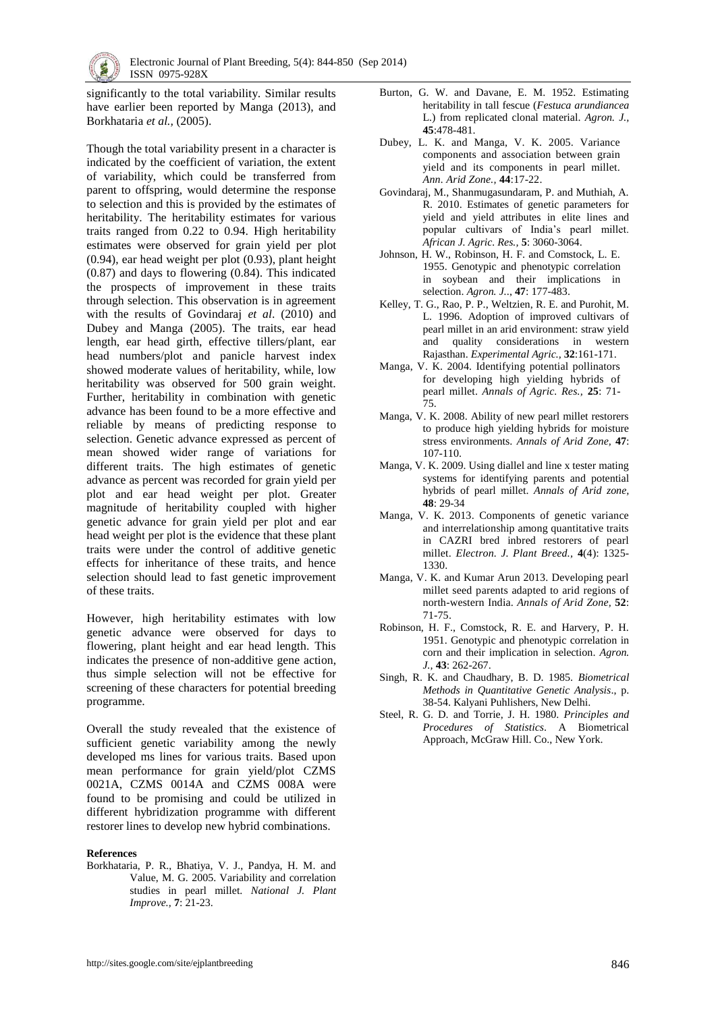

significantly to the total variability. Similar results have earlier been reported by Manga (2013), and Borkhataria *et al.,* (2005).

Though the total variability present in a character is indicated by the coefficient of variation, the extent of variability, which could be transferred from parent to offspring, would determine the response to selection and this is provided by the estimates of heritability. The heritability estimates for various traits ranged from 0.22 to 0.94. High heritability estimates were observed for grain yield per plot (0.94), ear head weight per plot (0.93), plant height (0.87) and days to flowering (0.84). This indicated the prospects of improvement in these traits through selection. This observation is in agreement with the results of Govindaraj *et al*. (2010) and Dubey and Manga (2005). The traits, ear head length, ear head girth, effective tillers/plant, ear head numbers/plot and panicle harvest index showed moderate values of heritability, while, low heritability was observed for 500 grain weight. Further, heritability in combination with genetic advance has been found to be a more effective and reliable by means of predicting response to selection. Genetic advance expressed as percent of mean showed wider range of variations for different traits. The high estimates of genetic advance as percent was recorded for grain yield per plot and ear head weight per plot. Greater magnitude of heritability coupled with higher genetic advance for grain yield per plot and ear head weight per plot is the evidence that these plant traits were under the control of additive genetic effects for inheritance of these traits, and hence selection should lead to fast genetic improvement of these traits.

However, high heritability estimates with low genetic advance were observed for days to flowering, plant height and ear head length. This indicates the presence of non-additive gene action, thus simple selection will not be effective for screening of these characters for potential breeding programme.

Overall the study revealed that the existence of sufficient genetic variability among the newly developed ms lines for various traits. Based upon mean performance for grain yield/plot CZMS 0021A, CZMS 0014A and CZMS 008A were found to be promising and could be utilized in different hybridization programme with different restorer lines to develop new hybrid combinations.

#### **References**

Borkhataria, P. R., Bhatiya, V. J., Pandya, H. M. and Value, M. G. 2005. Variability and correlation studies in pearl millet. *National J. Plant Improve.,* **7**: 21-23.

- Burton, G. W. and Davane, E. M. 1952. Estimating heritability in tall fescue (*Festuca arundiancea* L.) from replicated clonal material. *Agron. J.,* **45**:478-481.
- Dubey, L. K. and Manga, V. K. 2005. Variance components and association between grain yield and its components in pearl millet. *Ann. Arid Zone.,* **44**:17-22.
- Govindaraj, M., Shanmugasundaram, P. and Muthiah, A. R. 2010. Estimates of genetic parameters for yield and yield attributes in elite lines and popular cultivars of India's pearl millet. *African J. Agric. Res.,* **5**: 3060-3064.
- Johnson, H. W., Robinson, H. F. and Comstock, L. E. 1955. Genotypic and phenotypic correlation in soybean and their implications in selection. *Agron. J.*., **47**: 177-483.
- Kelley, T. G., Rao, P. P., Weltzien, R. E. and Purohit, M. L. 1996. Adoption of improved cultivars of pearl millet in an arid environment: straw yield and quality considerations in western Rajasthan. *Experimental Agric.,* **32**:161-171.
- Manga, V. K. 2004. Identifying potential pollinators for developing high yielding hybrids of pearl millet. *Annals of Agric. Res.,* **25**: 71- 75.
- Manga, V. K. 2008. Ability of new pearl millet restorers to produce high yielding hybrids for moisture stress environments. *Annals of Arid Zone,* **47**: 107-110.
- Manga, V. K. 2009. Using diallel and line x tester mating systems for identifying parents and potential hybrids of pearl millet. *Annals of Arid zone,* **48**: 29-34
- Manga, V. K. 2013. Components of genetic variance and interrelationship among quantitative traits in CAZRI bred inbred restorers of pearl millet. *Electron. J. Plant Breed.,* **4**(4): 1325- 1330.
- Manga, V. K. and Kumar Arun 2013. Developing pearl millet seed parents adapted to arid regions of north-western India. *Annals of Arid Zone,* **52**: 71-75.
- Robinson, H. F., Comstock, R. E. and Harvery, P. H. 1951. Genotypic and phenotypic correlation in corn and their implication in selection. *Agron. J.,* **43**: 262-267.
- Singh, R. K. and Chaudhary, B. D. 1985. *Biometrical Methods in Quantitative Genetic Analysis*., p. 38-54. Kalyani Puhlishers, New Delhi.
- Steel, R. G. D. and Torrie, J. H. 1980. *Principles and Procedures of Statistics*. A Biometrical Approach, McGraw Hill. Co., New York.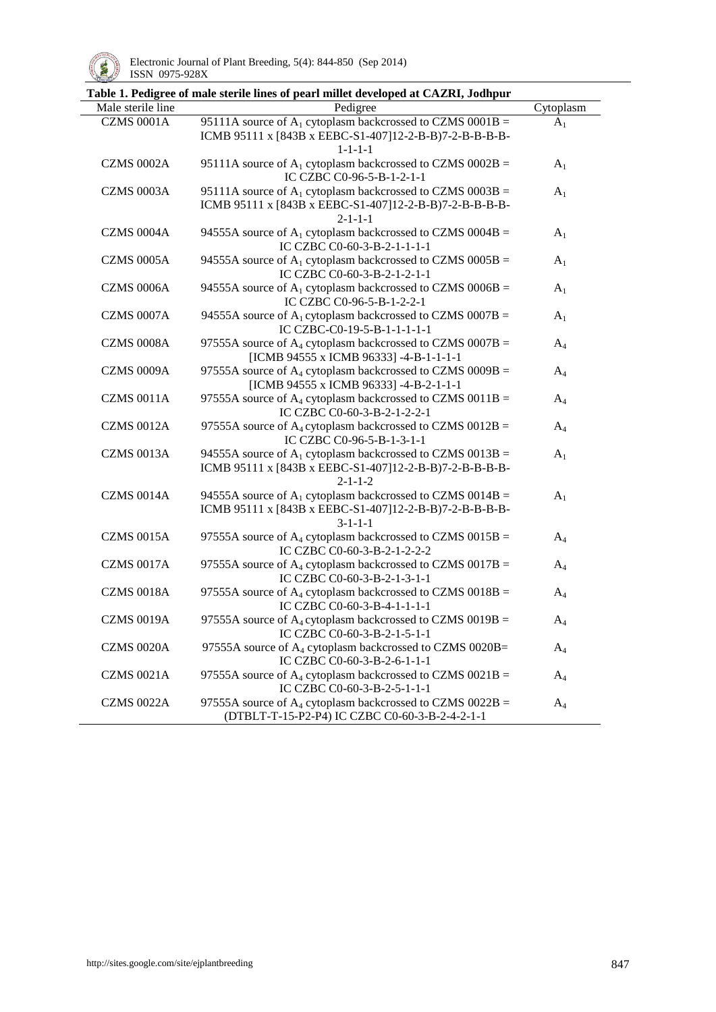

l,

|                   | Table 1. Pedigree of male sterile lines of pearl millet developed at CAZRI, Jodhpur                                                         |                |
|-------------------|---------------------------------------------------------------------------------------------------------------------------------------------|----------------|
| Male sterile line | Pedigree                                                                                                                                    | Cytoplasm      |
| <b>CZMS 0001A</b> | 95111A source of $A_1$ cytoplasm backcrossed to CZMS 0001B =<br>ICMB 95111 x [843B x EEBC-S1-407]12-2-B-B)7-2-B-B-B-B-B-<br>$1 - 1 - 1 - 1$ | A <sub>1</sub> |
| <b>CZMS 0002A</b> | 95111A source of $A_1$ cytoplasm backcrossed to CZMS 0002B =<br>IC CZBC C0-96-5-B-1-2-1-1                                                   | $A_1$          |
| <b>CZMS 0003A</b> | 95111A source of $A_1$ cytoplasm backcrossed to CZMS 0003B =<br>ICMB 95111 x [843B x EEBC-S1-407]12-2-B-B)7-2-B-B-B-B-B-<br>$2 - 1 - 1 - 1$ | A <sub>1</sub> |
| <b>CZMS 0004A</b> | 94555A source of $A_1$ cytoplasm backcrossed to CZMS 0004B =<br>IC CZBC C0-60-3-B-2-1-1-1-1                                                 | A <sub>1</sub> |
| <b>CZMS 0005A</b> | 94555A source of $A_1$ cytoplasm backcrossed to CZMS 0005B =<br>IC CZBC C0-60-3-B-2-1-2-1-1                                                 | $A_1$          |
| <b>CZMS 0006A</b> | 94555A source of $A_1$ cytoplasm backcrossed to CZMS 0006B =<br>IC CZBC C0-96-5-B-1-2-2-1                                                   | $A_1$          |
| CZMS 0007A        | 94555A source of $A_1$ cytoplasm backcrossed to CZMS 0007B =<br>IC CZBC-C0-19-5-B-1-1-1-1-1                                                 | A <sub>1</sub> |
| <b>CZMS 0008A</b> | 97555A source of $A_4$ cytoplasm backcrossed to CZMS 0007B =<br>[ICMB 94555 x ICMB 96333] -4-B-1-1-1-1                                      | $A_4$          |
| <b>CZMS 0009A</b> | 97555A source of $A_4$ cytoplasm backcrossed to CZMS 0009B =<br>[ICMB 94555 x ICMB 96333] -4-B-2-1-1-1                                      | $A_4$          |
| <b>CZMS 0011A</b> | 97555A source of $A_4$ cytoplasm backcrossed to CZMS 0011B =<br>IC CZBC C0-60-3-B-2-1-2-2-1                                                 | $A_4$          |
| <b>CZMS 0012A</b> | 97555A source of $A_4$ cytoplasm backcrossed to CZMS 0012B =<br>IC CZBC C0-96-5-B-1-3-1-1                                                   | $A_4$          |
| <b>CZMS 0013A</b> | 94555A source of $A_1$ cytoplasm backcrossed to CZMS 0013B =<br>ICMB 95111 x [843B x EEBC-S1-407]12-2-B-B)7-2-B-B-B-B-B-<br>$2 - 1 - 1 - 2$ | A <sub>1</sub> |
| <b>CZMS 0014A</b> | 94555A source of $A_1$ cytoplasm backcrossed to CZMS 0014B =<br>ICMB 95111 x [843B x EEBC-S1-407]12-2-B-B)7-2-B-B-B-B-B-<br>$3 - 1 - 1 - 1$ | A <sub>1</sub> |
| <b>CZMS 0015A</b> | 97555A source of $A_4$ cytoplasm backcrossed to CZMS 0015B =<br>IC CZBC C0-60-3-B-2-1-2-2-2                                                 | $A_4$          |
| <b>CZMS 0017A</b> | 97555A source of $A_4$ cytoplasm backcrossed to CZMS 0017B =<br>IC CZBC C0-60-3-B-2-1-3-1-1                                                 | $A_4$          |
| <b>CZMS 0018A</b> | 97555A source of $A_4$ cytoplasm backcrossed to CZMS 0018B =<br>IC CZBC C0-60-3-B-4-1-1-1-1                                                 | $A_4$          |
| <b>CZMS 0019A</b> | 97555A source of $A_4$ cytoplasm backcrossed to CZMS 0019B =<br>IC CZBC C0-60-3-B-2-1-5-1-1                                                 | $A_4$          |
| <b>CZMS 0020A</b> | 97555A source of A <sub>4</sub> cytoplasm backcrossed to CZMS 0020B=<br>IC CZBC C0-60-3-B-2-6-1-1-1                                         | $A_4$          |
| <b>CZMS 0021A</b> | 97555A source of $A_4$ cytoplasm backcrossed to CZMS 0021B =<br>IC CZBC C0-60-3-B-2-5-1-1-1                                                 | $A_4$          |
| <b>CZMS 0022A</b> | 97555A source of $A_4$ cytoplasm backcrossed to CZMS 0022B =<br>(DTBLT-T-15-P2-P4) IC CZBC C0-60-3-B-2-4-2-1-1                              | $A_4$          |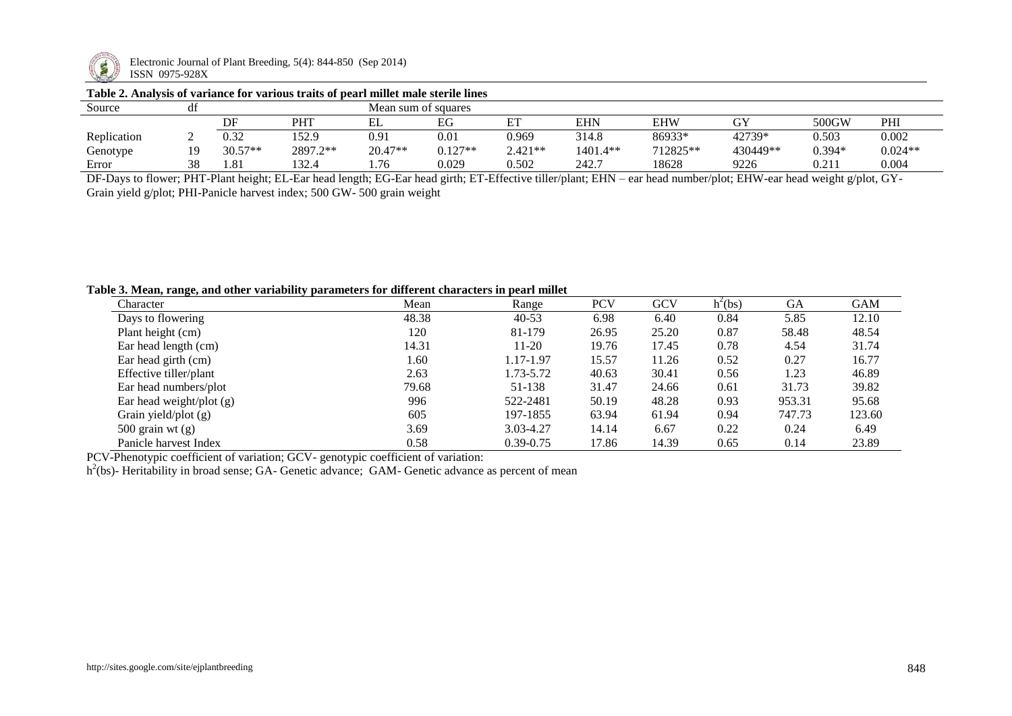

Electronic Journal of Plant Breeding, 5(4): 844-850 (Sep 2014) ISSN 0975-928X

## **Table 2. Analysis of variance for various traits of pearl millet male sterile lines**

| Source      |    | .<br>Mean sum of squares |          |         |           |           |            |            |          |          |           |
|-------------|----|--------------------------|----------|---------|-----------|-----------|------------|------------|----------|----------|-----------|
|             |    | DF                       | PHT      | EL      | EG        | . L       | <b>EHN</b> | <b>EHW</b> | GY       | 500GW    | PHI       |
| Replication |    | J.32                     | 152.9    | 0.91    | 0.01      | 0.969     | 314.8      | 86933*     | 42739*   | 0.503    | 0.002     |
| Genotype    |    | $30.57**$                | 2897.2** | 20.47** | $0.127**$ | $2.421**$ | 1401.4**   | 712825**   | 430449** | $0.394*$ | $0.024**$ |
| Error       | 38 | 1.81                     | 132.4    | 1.76    | 0.029     | 0.502     | 242.7      | 18628      | 9226     | 0.211    | 0.004     |

DF-Days to flower; PHT-Plant height; EL-Ear head length; EG-Ear head girth; ET-Effective tiller/plant; EHN – ear head number/plot; EHW-ear head weight g/plot, GY-Grain yield g/plot; PHI-Panicle harvest index; 500 GW- 500 grain weight

# **Table 3. Mean, range, and other variability parameters for different characters in pearl millet**

| $\rightarrow$<br>Character | Mean  | Range         | <b>PCV</b> | <b>GCV</b> | $h^2$ (bs) | <b>GA</b> | <b>GAM</b> |
|----------------------------|-------|---------------|------------|------------|------------|-----------|------------|
| Days to flowering          | 48.38 | $40 - 53$     | 6.98       | 6.40       | 0.84       | 5.85      | 12.10      |
| Plant height (cm)          | 120   | 81-179        | 26.95      | 25.20      | 0.87       | 58.48     | 48.54      |
| Ear head length (cm)       | 14.31 | $11 - 20$     | 19.76      | 17.45      | 0.78       | 4.54      | 31.74      |
| Ear head girth (cm)        | 1.60  | 1.17-1.97     | 15.57      | 11.26      | 0.52       | 0.27      | 16.77      |
| Effective tiller/plant     | 2.63  | 1.73-5.72     | 40.63      | 30.41      | 0.56       | 1.23      | 46.89      |
| Ear head numbers/plot      | 79.68 | 51-138        | 31.47      | 24.66      | 0.61       | 31.73     | 39.82      |
| Ear head weight/plot $(g)$ | 996   | 522-2481      | 50.19      | 48.28      | 0.93       | 953.31    | 95.68      |
| Grain yield/plot $(g)$     | 605   | 197-1855      | 63.94      | 61.94      | 0.94       | 747.73    | 123.60     |
| $500$ grain wt $(g)$       | 3.69  | 3.03-4.27     | 14.14      | 6.67       | 0.22       | 0.24      | 6.49       |
| Panicle harvest Index      | 0.58  | $0.39 - 0.75$ | 17.86      | 14.39      | 0.65       | 0.14      | 23.89      |

PCV-Phenotypic coefficient of variation; GCV- genotypic coefficient of variation:

h<sup>2</sup>(bs)- Heritability in broad sense; GA- Genetic advance; GAM- Genetic advance as percent of mean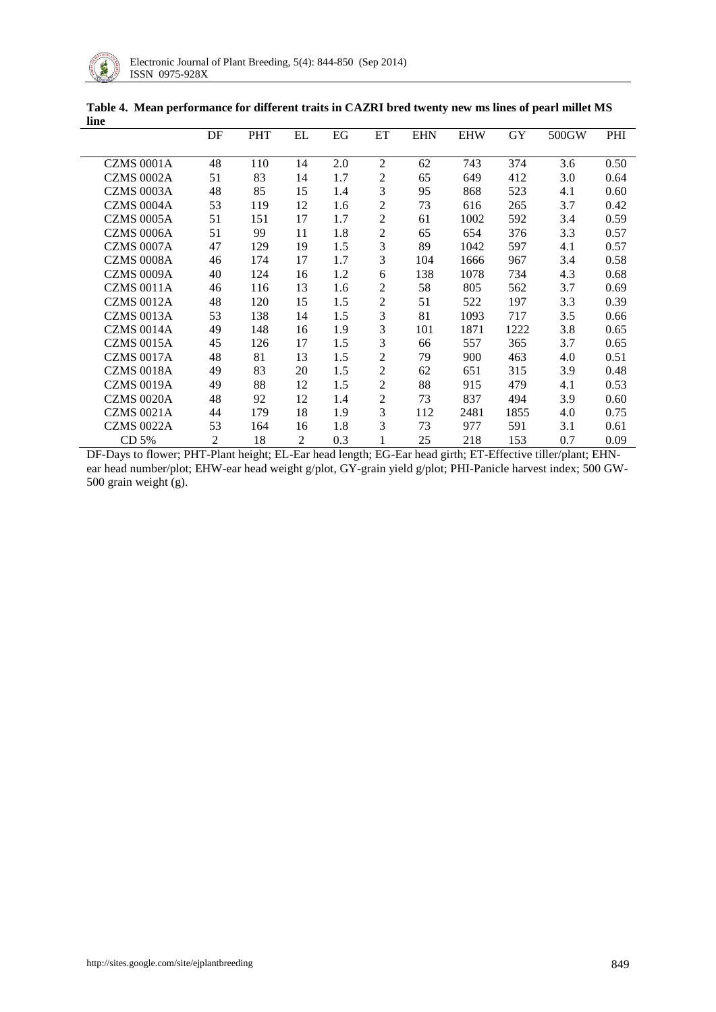

|                   | DF | <b>PHT</b> | EL | EG  | ET             | <b>EHN</b> | <b>EHW</b> | GY   | 500GW | PHI  |
|-------------------|----|------------|----|-----|----------------|------------|------------|------|-------|------|
|                   |    |            |    |     |                |            |            |      |       |      |
| <b>CZMS 0001A</b> | 48 | 110        | 14 | 2.0 | $\overline{2}$ | 62         | 743        | 374  | 3.6   | 0.50 |
| <b>CZMS 0002A</b> | 51 | 83         | 14 | 1.7 | $\mathfrak{2}$ | 65         | 649        | 412  | 3.0   | 0.64 |
| CZMS 0003A        | 48 | 85         | 15 | 1.4 | 3              | 95         | 868        | 523  | 4.1   | 0.60 |
| <b>CZMS 0004A</b> | 53 | 119        | 12 | 1.6 | $\overline{2}$ | 73         | 616        | 265  | 3.7   | 0.42 |
| <b>CZMS 0005A</b> | 51 | 151        | 17 | 1.7 | $\overline{2}$ | 61         | 1002       | 592  | 3.4   | 0.59 |
| <b>CZMS 0006A</b> | 51 | 99         | 11 | 1.8 | $\mathfrak{2}$ | 65         | 654        | 376  | 3.3   | 0.57 |
| <b>CZMS 0007A</b> | 47 | 129        | 19 | 1.5 | 3              | 89         | 1042       | 597  | 4.1   | 0.57 |
| <b>CZMS 0008A</b> | 46 | 174        | 17 | 1.7 | 3              | 104        | 1666       | 967  | 3.4   | 0.58 |
| <b>CZMS 0009A</b> | 40 | 124        | 16 | 1.2 | 6              | 138        | 1078       | 734  | 4.3   | 0.68 |
| <b>CZMS 0011A</b> | 46 | 116        | 13 | 1.6 | 2              | 58         | 805        | 562  | 3.7   | 0.69 |
| <b>CZMS 0012A</b> | 48 | 120        | 15 | 1.5 | $\mathbf{2}$   | 51         | 522        | 197  | 3.3   | 0.39 |
| <b>CZMS 0013A</b> | 53 | 138        | 14 | 1.5 | 3              | 81         | 1093       | 717  | 3.5   | 0.66 |
| <b>CZMS 0014A</b> | 49 | 148        | 16 | 1.9 | 3              | 101        | 1871       | 1222 | 3.8   | 0.65 |
| <b>CZMS 0015A</b> | 45 | 126        | 17 | 1.5 | 3              | 66         | 557        | 365  | 3.7   | 0.65 |
| <b>CZMS 0017A</b> | 48 | 81         | 13 | 1.5 | $\mathbf{2}$   | 79         | 900        | 463  | 4.0   | 0.51 |
| <b>CZMS 0018A</b> | 49 | 83         | 20 | 1.5 | $\overline{2}$ | 62         | 651        | 315  | 3.9   | 0.48 |
| <b>CZMS 0019A</b> | 49 | 88         | 12 | 1.5 | $\mathfrak{2}$ | 88         | 915        | 479  | 4.1   | 0.53 |
| <b>CZMS 0020A</b> | 48 | 92         | 12 | 1.4 | $\mathbf{2}$   | 73         | 837        | 494  | 3.9   | 0.60 |
| <b>CZMS 0021A</b> | 44 | 179        | 18 | 1.9 | 3              | 112        | 2481       | 1855 | 4.0   | 0.75 |
| <b>CZMS 0022A</b> | 53 | 164        | 16 | 1.8 | 3              | 73         | 977        | 591  | 3.1   | 0.61 |
| CD 5%             | 2  | 18         | 2  | 0.3 |                | 25         | 218        | 153  | 0.7   | 0.09 |

**Table 4. Mean performance for different traits in CAZRI bred twenty new ms lines of pearl millet MS line**

DF-Days to flower; PHT-Plant height; EL-Ear head length; EG-Ear head girth; ET-Effective tiller/plant; EHNear head number/plot; EHW-ear head weight g/plot, GY-grain yield g/plot; PHI-Panicle harvest index; 500 GW-500 grain weight (g).